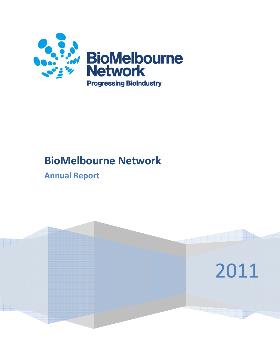

# **BioMelbourne Network**

## **Annual Report**

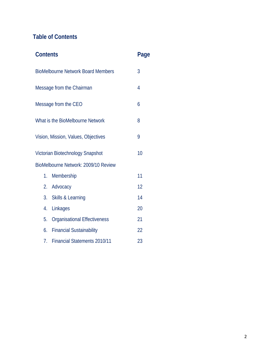## **Table of Contents**

| <b>Contents</b>                           |                                     |                |
|-------------------------------------------|-------------------------------------|----------------|
| <b>BioMelbourne Network Board Members</b> |                                     |                |
|                                           | Message from the Chairman           | $\overline{4}$ |
|                                           | Message from the CEO                | 6              |
|                                           | What is the BioMelbourne Network    | 8              |
|                                           | Vision, Mission, Values, Objectives | 9              |
| Victorian Biotechnology Snapshot          |                                     | 10             |
| BioMelbourne Network: 2009/10 Review      |                                     |                |
| 1.                                        | Membership                          | 11             |
| 2.                                        | Advocacy                            | 12             |
|                                           | 3. Skills & Learning                | 14             |
| 4.                                        | Linkages                            | 20             |
| 5.                                        | <b>Organisational Effectiveness</b> | 21             |
|                                           | 6. Financial Sustainability         | 22             |
| 7.                                        | <b>Financial Statements 2010/11</b> | 23             |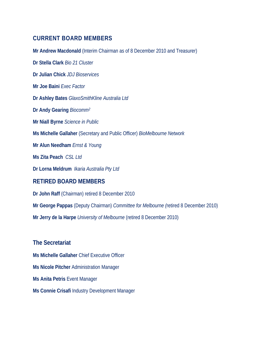## **CURRENT BOARD MEMBERS**

**Mr Andrew Macdonald** (Interim Chairman as of 8 December 2010 and Treasurer) **Dr Stella Clark** *Bio 21 Cluster*  **Dr Julian Chick** *JDJ Bioservices*  **Mr Joe Baini** *Exec Factor*  **Dr Ashley Bates** *GlaxoSmithKline Australia Ltd*  **Dr Andy Gearing** *Biocomm2* **Mr Niall Byrne** *Science in Public*  **Ms Michelle Gallaher** (Secretary and Public Officer) *BioMelbourne Network*  **Mr Alun Needham** *Ernst & Young*  **Ms Zita Peach** *CSL Ltd*  **Dr Lorna Meldrum** *Ikaria Australia Pty Ltd* **RETIRED BOARD MEMBERS Dr John Raff** (Chairman) retired 8 December 2010 **Mr George Pappas** (Deputy Chairman) *Committee for Melbourne (*retired 8 December 2010)

**Mr Jerry de la Harpe** *University of Melbourne* (retired 8 December 2010)

**The Secretariat Ms Michelle Gallaher** Chief Executive Officer **Ms Nicole Pitcher** Administration Manager

**Ms Anita Petris** Event Manager

**Ms Connie Crisafi** Industry Development Manager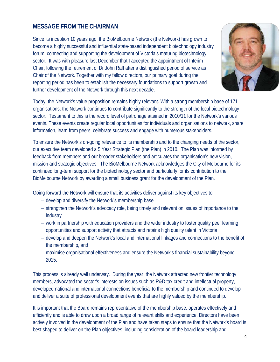## **MESSAGE FROM THE CHAIRMAN**

Since its inception 10 years ago, the BioMelbourne Network (the Network) has grown to become a highly successful and influential state-based independent biotechnology industry forum, connecting and supporting the development of Victoria's maturing biotechnology sector. It was with pleasure last December that I accepted the appointment of Interim Chair, following the retirement of Dr John Raff after a distinguished period of service as Chair of the Network. Together with my fellow directors, our primary goal during the reporting period has been to establish the necessary foundations to support growth and further development of the Network through this next decade.



Today, the Network's value proposition remains highly relevant. With a strong membership base of 171 organisations, the Network continues to contribute significantly to the strength of the local biotechnology sector. Testament to this is the record level of patronage attained in 2010/11 for the Network's various events. These events create regular local opportunities for individuals and organisations to network, share information, learn from peers, celebrate success and engage with numerous stakeholders.

To ensure the Network's on-going relevance to its membership and to the changing needs of the sector, our executive team developed a 5 Year Strategic Plan (the Plan) in 2010. The Plan was informed by feedback from members and our broader stakeholders and articulates the organisation's new vision, mission and strategic objectives. The BioMelbourne Network acknowledges the City of Melbourne for its continued long-term support for the biotechnology sector and particularly for its contribution to the BioMelbourne Network by awarding a small business grant for the development of the Plan.

Going forward the Network will ensure that its activities deliver against its key objectives to:

- − develop and diversify the Network's membership base
- − strengthen the Network's advocacy role, being timely and relevant on issues of importance to the industry
- − work in partnership with education providers and the wider industry to foster quality peer learning opportunities and support activity that attracts and retains high quality talent in Victoria
- − develop and deepen the Network's local and international linkages and connections to the benefit of the membership, and
- − maximise organisational effectiveness and ensure the Network's financial sustainability beyond 2015.

This process is already well underway. During the year, the Network attracted new frontier technology members, advocated the sector's interests on issues such as R&D tax credit and intellectual property, developed national and international connections beneficial to the membership and continued to develop and deliver a suite of professional development events that are highly valued by the membership.

It is important that the Board remains representative of the membership base, operates effectively and efficiently and is able to draw upon a broad range of relevant skills and experience. Directors have been actively involved in the development of the Plan and have taken steps to ensure that the Network's board is best shaped to deliver on the Plan objectives, including consideration of the board leadership and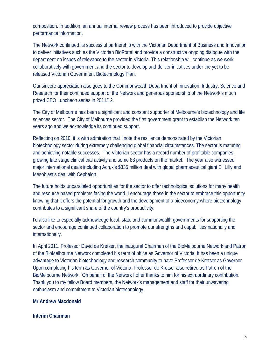composition. In addition, an annual internal review process has been introduced to provide objective performance information.

The Network continued its successful partnership with the Victorian Department of Business and Innovation to deliver initiatives such as the Victorian BioPortal and provide a constructive ongoing dialogue with the department on issues of relevance to the sector in Victoria. This relationship will continue as we work collaboratively with government and the sector to develop and deliver initiatives under the yet to be released Victorian Government Biotechnology Plan.

Our sincere appreciation also goes to the Commonwealth Department of Innovation, Industry, Science and Research for their continued support of the Network and generous sponsorship of the Network's much prized CEO Luncheon series in 2011/12.

The City of Melbourne has been a significant and constant supporter of Melbourne's biotechnology and life sciences sector. The City of Melbourne provided the first government grant to establish the Network ten years ago and we acknowledge its continued support.

Reflecting on 2010, it is with admiration that I note the resilience demonstrated by the Victorian biotechnology sector during extremely challenging global financial circumstances. The sector is maturing and achieving notable successes. The Victorian sector has a record number of profitable companies, growing late stage clinical trial activity and some 88 products on the market. The year also witnessed major international deals including Acrux's \$335 million deal with global pharmaceutical giant Eli Lilly and Mesoblast's deal with Cephalon.

The future holds unparalleled opportunities for the sector to offer technological solutions for many health and resource based problems facing the world. I encourage those in the sector to embrace this opportunity knowing that it offers the potential for growth and the development of a bioeconomy where biotechnology contributes to a significant share of the country's productivity.

I'd also like to especially acknowledge local, state and commonwealth governments for supporting the sector and encourage continued collaboration to promote our strengths and capabilities nationally and internationally.

In April 2011, Professor David de Kretser, the inaugural Chairman of the BioMelbourne Network and Patron of the BioMelbourne Network completed his term of office as Governor of Victoria. It has been a unique advantage to Victorian biotechnology and research community to have Professor de Kretser as Governor. Upon completing his term as Governor of Victoria, Professor de Kretser also retired as Patron of the BioMelbourne Network. On behalf of the Network I offer thanks to him for his extraordinary contribution. Thank you to my fellow Board members, the Network's management and staff for their unwavering enthusiasm and commitment to Victorian biotechnology.

### **Mr Andrew Macdonald**

**Interim Chairman**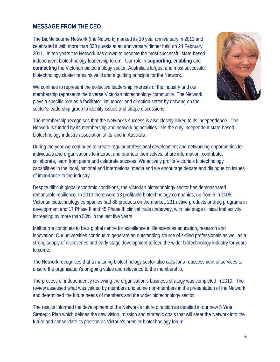## **MESSAGE FROM THE CEO**

The BioMelbourne Network (the Network) marked its 10 year anniversary in 2011 and celebrated it with more than 330 guests at an anniversary dinner held on 24 February 2011. In ten years the Network has grown to become the most successful state-based independent biotechnology leadership forum. Our role in **supporting**, **enabling** and **connecting** the Victorian biotechnology sector, Australia's largest and most successful biotechnology cluster remains valid and a guiding principle for the Network.

We continue to represent the collective leadership interests of the industry and our membership represents the diverse Victorian biotechnology community. The Network plays a specific role as a facilitator, influencer and direction setter by drawing on the sector's leadership group to identify issues and shape discussions.



The membership recognises that the Network's success is also closely linked to its independence. The Network is funded by its membership and networking activities. It is the only independent state-based biotechnology industry association of its kind in Australia.

During the year we continued to create regular professional development and networking opportunities for individuals and organisations to interact and promote themselves, share information, contribute, collaborate, learn from peers and celebrate success. We actively profile Victoria's biotechnology capabilities in the local, national and international media and we encourage debate and dialogue on issues of importance to the industry.

Despite difficult global economic conditions, the Victorian biotechnology sector has demonstrated remarkable resilience. In 2010 there were 13 profitable biotechnology companies, up from 5 in 2005. Victorian biotechnology companies had 88 products on the market, 231 active products or drug programs in development and 17 Phase II and 45 Phase III clinical trials underway, with late stage clinical trial activity increasing by more than 50% in the last five years.

Melbourne continues to be a global centre for excellence in life sciences education, research and innovation. Our universities continue to generate an outstanding source of skilled professionals as well as a strong supply of discoveries and early stage development to feed the wider biotechnology industry for years to come.

The Network recognises that a maturing biotechnology sector also calls for a reassessment of services to ensure the organisation's on-going value and relevance to the membership.

The process of independently reviewing the organisation's business strategy was completed in 2010. The review assessed what was valued by members and some non-members in the presentation of the Network and determined the future needs of members and the wider biotechnology sector.

The results informed the development of the Network's future direction as detailed in our new 5 Year Strategic Plan which defines the new vision, mission and strategic goals that will steer the Network into the future and consolidate its position as Victoria's premier biotechnology forum.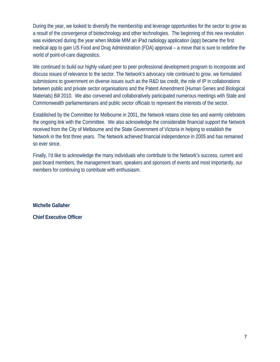During the year, we looked to diversify the membership and leverage opportunities for the sector to grow as a result of the convergence of biotechnology and other technologies. The beginning of this new revolution was evidenced during the year when Mobile MIM an iPad radiology application (app) became the first medical app to gain US Food and Drug Administration (FDA) approval – a move that is sure to redefine the world of point-of-care diagnostics.

We continued to build our highly valued peer to peer professional development program to incorporate and discuss issues of relevance to the sector. The Network's advocacy role continued to grow, we formulated submissions to government on diverse issues such as the R&D tax credit, the role of IP in collaborations between public and private sector organisations and the Patent Amendment (Human Genes and Biological Materials) Bill 2010. We also convened and collaboratively participated numerous meetings with State and Commonwealth parliamentarians and public sector officials to represent the interests of the sector.

Established by the Committee for Melbourne in 2001, the Network retains close ties and warmly celebrates the ongoing link with the Committee. We also acknowledge the considerable financial support the Network received from the City of Melbourne and the State Government of Victoria in helping to establish the Network in the first three years. The Network achieved financial independence in 2005 and has remained so ever since.

Finally, I'd like to acknowledge the many individuals who contribute to the Network's success, current and past board members, the management team, speakers and sponsors of events and most importantly, our members for continuing to contribute with enthusiasm.

**Michelle Gallaher** 

**Chief Executive Officer**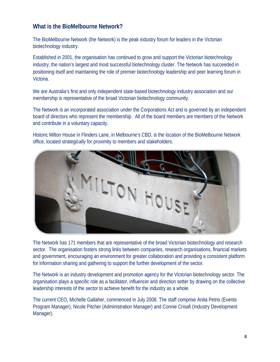## **What is the BioMelbourne Network?**

The BioMelbourne Network (the Network) is the peak industry forum for leaders in the Victorian biotechnology industry.

Established in 2001, the organisation has continued to grow and support the Victorian biotechnology industry, the nation's largest and most successful biotechnology cluster. The Network has succeeded in positioning itself and maintaining the role of premier biotechnology leadership and peer learning forum in Victoria.

We are Australia's first and only independent state-based biotechnology industry association and our membership is representative of the broad Victorian biotechnology community.

The Network is an incorporated association under the Corporations Act and is governed by an independent board of directors who represent the membership. All of the board members are members of the Network and contribute in a voluntary capacity.

Historic Milton House in Flinders Lane, in Melbourne's CBD, is the location of the BioMelbourne Network office, located strategically for proximity to members and stakeholders.



The Network has 171 members that are representative of the broad Victorian biotechnology and research sector. The organisation fosters strong links between companies, research organisations, financial markets and government, encouraging an environment for greater collaboration and providing a consistent platform for information sharing and gathering to support the further development of the sector.

The Network is an industry development and promotion agency for the Victorian biotechnology sector. The organisation plays a specific role as a facilitator, influencer and direction setter by drawing on the collective leadership interests of the sector to achieve benefit for the industry as a whole.

The current CEO, Michelle Gallaher, commenced in July 2008. The staff comprise Anita Petris (Events Program Manager), Nicole Pitcher (Administration Manager) and Connie Crisafi (Industry Development Manager).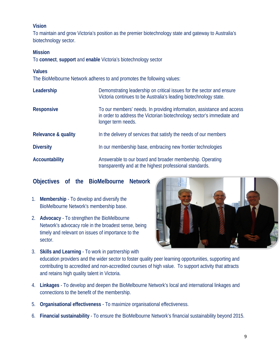## **Vision**

To maintain and grow Victoria's position as the premier biotechnology state and gateway to Australia's biotechnology sector.

### **Mission**

To **connect**, **support** and **enable** Victoria's biotechnology sector

### **Values**

The BioMelbourne Network adheres to and promotes the following values:

| Leadership            | Demonstrating leadership on critical issues for the sector and ensure<br>Victoria continues to be Australia's leading biotechnology state.                             |
|-----------------------|------------------------------------------------------------------------------------------------------------------------------------------------------------------------|
| <b>Responsive</b>     | To our members' needs. In providing information, assistance and access<br>in order to address the Victorian biotechnology sector's immediate and<br>longer term needs. |
| Relevance & quality   | In the delivery of services that satisfy the needs of our members                                                                                                      |
| <b>Diversity</b>      | In our membership base, embracing new frontier technologies                                                                                                            |
| <b>Accountability</b> | Answerable to our board and broader membership. Operating<br>transparently and at the highest professional standards.                                                  |

## **Objectives of the BioMelbourne Network**

- 1. **Membership**  To develop and diversify the BioMelbourne Network's membership base.
- 2. **Advocacy** To strengthen the BioMelbourne Network's advocacy role in the broadest sense, being timely and relevant on issues of importance to the sector.



- 3. **Skills and Learning** To work in partnership with education providers and the wider sector to foster quality peer learning opportunities, supporting and contributing to accredited and non-accredited courses of high value. To support activity that attracts and retains high quality talent in Victoria.
- 4. **Linkages** To develop and deepen the BioMelbourne Network's local and international linkages and connections to the benefit of the membership.
- 5. **Organisational effectiveness** To maximize organisational effectiveness.
- 6. **Financial sustainability** To ensure the BioMelbourne Network's financial sustainability beyond 2015.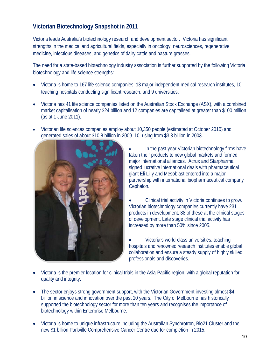## **Victorian Biotechnology Snapshot in 2011**

Victoria leads Australia's biotechnology research and development sector. Victoria has significant strengths in the medical and agricultural fields, especially in oncology, neurosciences, regenerative medicine, infectious diseases, and genetics of dairy cattle and pasture grasses.

The need for a state-based biotechnology industry association is further supported by the following Victoria biotechnology and life science strengths:

- Victoria is home to 167 life science companies, 13 major independent medical research institutes, 10 teaching hospitals conducting significant research, and 9 universities.
- Victoria has 41 life science companies listed on the Australian Stock Exchange (ASX), with a combined market capitalisation of nearly \$24 billion and 12 companies are capitalised at greater than \$100 million (as at 1 June 2011).
- Victorian life sciences companies employ about 10,350 people (estimated at October 2010) and generated sales of about \$10.8 billion in 2009–10, rising from \$3.3 billion in 2003.



In the past year Victorian biotechnology firms have taken their products to new global markets and formed major international alliances. Acrux and Starpharma signed lucrative international deals with pharmaceutical giant Eli Lilly and Mesoblast entered into a major partnership with international biopharmaceutical company Cephalon.

• Clinical trial activity in Victoria continues to grow. Victorian biotechnology companies currently have 231 products in development, 88 of these at the clinical stages of development. Late stage clinical trial activity has increased by more than 50% since 2005.

• Victoria's world-class universities, teaching hospitals and renowned research institutes enable global collaboration and ensure a steady supply of highly skilled professionals and discoveries.

- Victoria is the premier location for clinical trials in the Asia-Pacific region, with a global reputation for quality and integrity.
- The sector enjoys strong government support, with the Victorian Government investing almost \$4 billion in science and innovation over the past 10 years. The City of Melbourne has historically supported the biotechnology sector for more than ten years and recognises the importance of biotechnology within Enterprise Melbourne.
- Victoria is home to unique infrastructure including the Australian Synchrotron, Bio21 Cluster and the new \$1 billion Parkville Comprehensive Cancer Centre due for completion in 2015.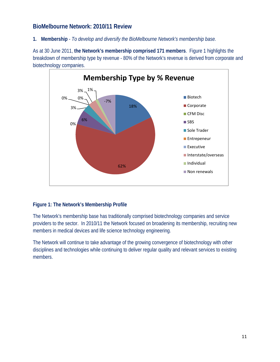## **BioMelbourne Network: 2010/11 Review**

**1. Membership** - *To develop and diversify the BioMelbourne Network's membership base.*

As at 30 June 2011, **the Network's membership comprised 171 members**. Figure 1 highlights the breakdown of membership type by revenue - 80% of the Network's revenue is derived from corporate and biotechnology companies.



## **Figure 1: The Network's Membership Profile**

The Network's membership base has traditionally comprised biotechnology companies and service providers to the sector. In 2010/11 the Network focused on broadening its membership, recruiting new members in medical devices and life science technology engineering.

The Network will continue to take advantage of the growing convergence of biotechnology with other disciplines and technologies while continuing to deliver regular quality and relevant services to existing members.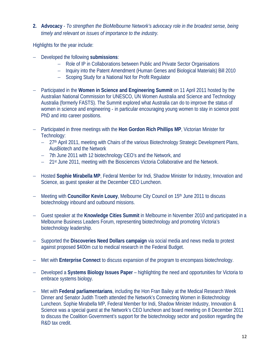**2. Advocacy** - *To strengthen the BioMelbourne Network's advocacy role in the broadest sense, being timely and relevant on issues of importance to the industry.*

Highlights for the year include:

- − Developed the following **submissions**:
	- − Role of IP in Collaborations between Public and Private Sector Organisations
	- − Inquiry into the Patent Amendment (Human Genes and Biological Materials) Bill 2010
	- − Scoping Study for a National Not for Profit Regulator
- − Participated in the **Women in Science and Engineering Summit** on 11 April 2011 hosted by the Australian National Commission for UNESCO, UN Women Australia and Science and Technology Australia (formerly FASTS). The Summit explored what Australia can do to improve the status of women in science and engineering ‐ in particular encouraging young women to stay in science post PhD and into career positions.
- − Participated in three meetings with the **Hon Gordon Rich Phillips MP**, Victorian Minister for Technology:
	- − 27th April 2011, meeting with Chairs of the various Biotechnology Strategic Development Plans, AusBiotech and the Network
	- − 7th June 2011 with 12 biotechnology CEO's and the Network, and
	- − 21st June 2011, meeting with the Biosciences Victoria Collaborative and the Network.
- − Hosted **Sophie Mirabella MP**, Federal Member for Indi, Shadow Minister for Industry, Innovation and Science, as guest speaker at the December CEO Luncheon.
- − Meeting with **Councillor Kevin Louey**, Melbourne City Council on 15th June 2011 to discuss biotechnology inbound and outbound missions.
- − Guest speaker at the **Knowledge Cities Summit** in Melbourne in November 2010 and participated in a Melbourne Business Leaders Forum, representing biotechnology and promoting Victoria's biotechnology leadership.
- − Supported the **Discoveries Need Dollars campaign** via social media and news media to protest against proposed \$400m cut to medical research in the Federal Budget.
- − Met with **Enterprise Connect** to discuss expansion of the program to encompass biotechnology.
- − Developed a **Systems Biology Issues Paper** highlighting the need and opportunities for Victoria to embrace systems biology.
- − Met with **Federal parliamentarians**, including the Hon Fran Bailey at the Medical Research Week Dinner and Senator Judith Troeth attended the Network's Connecting Women in Biotechnology Luncheon. Sophie Mirabella MP, Federal Member for Indi, Shadow Minister Industry, Innovation & Science was a special guest at the Network's CEO luncheon and board meeting on 8 December 2011 to discuss the Coalition Government's support for the biotechnology sector and position regarding the R&D tax credit.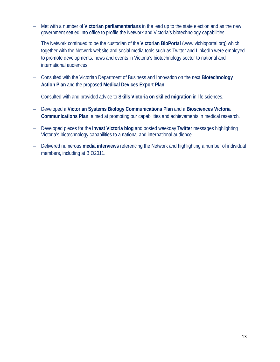- − Met with a number of **Victorian parliamentarians** in the lead up to the state election and as the new government settled into office to profile the Network and Victoria's biotechnology capabilities.
- − The Network continued to be the custodian of the **Victorian BioPortal** (www.vicbioportal.org) which together with the Network website and social media tools such as Twitter and LinkedIn were employed to promote developments, news and events in Victoria's biotechnology sector to national and international audiences.
- − Consulted with the Victorian Department of Business and Innovation on the next **Biotechnology Action Plan** and the proposed **Medical Devices Export Plan**.
- − Consulted with and provided advice to **Skills Victoria on skilled migration** in life sciences.
- − Developed a **Victorian Systems Biology Communications Plan** and a **Biosciences Victoria Communications Plan**, aimed at promoting our capabilities and achievements in medical research.
- − Developed pieces for the **Invest Victoria blog** and posted weekday **Twitter** messages highlighting Victoria's biotechnology capabilities to a national and international audience.
- − Delivered numerous **media interviews** referencing the Network and highlighting a number of individual members, including at BIO2011.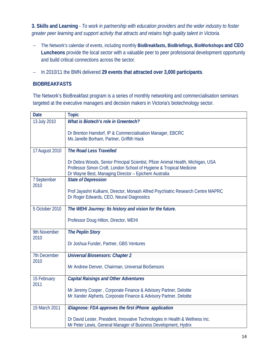**3. Skills and Learning** - *To work in partnership with education providers and the wider industry to foster greater peer learning and support activity that attracts and retains high quality talent in Victoria.* 

- − The Network's calendar of events, including monthly **BioBreakfasts, BioBriefings, BioWorkshops and CEO Luncheons** provide the local sector with a valuable peer to peer professional development opportunity and build critical connections across the sector.
- − In 2010/11 the BMN delivered **29 events that attracted over 3,000 participants**.

### **BIOBREAKFASTS**

The Network's BioBreakfast program is a series of monthly networking and commercialisation seminars targeted at the executive managers and decision makers in Victoria's biotechnology sector.

| <b>Date</b>         | <b>Topic</b>                                                                                                                                                                                                   |
|---------------------|----------------------------------------------------------------------------------------------------------------------------------------------------------------------------------------------------------------|
| 13 July 2010        | <b>What is Biotech's role in Greentech?</b>                                                                                                                                                                    |
|                     | Dr Brenton Hamdorf, IP & Commercialisation Manager, EBCRC<br>Ms Janelle Borham, Partner, Griffith Hack                                                                                                         |
| 17 August 2010      | The Road Less Travelled                                                                                                                                                                                        |
|                     | Dr Debra Woods, Senior Principal Scientist, Pfizer Animal Health, Michigan, USA<br>Professor Simon Croft, London School of Hygiene & Tropical Medicine<br>Dr Wayne Best, Managing Director - Epichem Australia |
| 7 September         | <b>State of Depression</b>                                                                                                                                                                                     |
| 2010                | Prof Jayashri Kulkarni, Director, Monash Alfred Psychiatric Research Centre MAPRC<br>Dr Roger Edwards, CEO, Neural Diagnostics                                                                                 |
| 5 October 2010      | The WEHI Journey: Its history and vision for the future.                                                                                                                                                       |
|                     | Professor Doug Hilton, Director, WEHI                                                                                                                                                                          |
| 9th November        | <b>The Peplin Story</b>                                                                                                                                                                                        |
| 2010                | Dr Joshua Funder, Partner, GBS Ventures                                                                                                                                                                        |
| 7th December        | <b>Universal Biosensors: Chapter 2</b>                                                                                                                                                                         |
| 2010                | Mr Andrew Denver, Chairman, Universal BioSensors                                                                                                                                                               |
| 15 February<br>2011 | <b>Capital Raisings and Other Adventures</b>                                                                                                                                                                   |
|                     | Mr Jeremy Cooper, Corporate Finance & Advisory Partner, Deloitte<br>Mr Xander Alpherts, Corporate Finance & Advisory Partner, Deloitte                                                                         |
| 15 March 2011       | iDiagnose: FDA approves the first iPhone application                                                                                                                                                           |
|                     | Dr David Lester, President, Innovative Technologies in Health & Wellness Inc.<br>Mr Peter Lewis, General Manager of Business Development, Hydrix                                                               |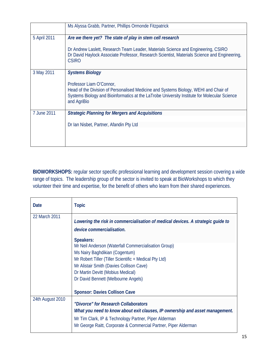|              | Ms Alyssa Grabb, Partner, Phillips Ormonde Fitzpatrick                                                                                                                                                                          |  |  |
|--------------|---------------------------------------------------------------------------------------------------------------------------------------------------------------------------------------------------------------------------------|--|--|
| 5 April 2011 | Are we there yet? The state of play in stem cell research                                                                                                                                                                       |  |  |
|              | Dr Andrew Laslett, Research Team Leader, Materials Science and Engineering, CSIRO<br>Dr David Haylock Associate Professor, Research Scientist, Materials Science and Engineering,<br><b>CSIRO</b>                               |  |  |
| 3 May 2011   | <b>Systems Biology</b>                                                                                                                                                                                                          |  |  |
|              | Professor Liam O'Connor,<br>Head of the Division of Personalised Medicine and Systems Biology, WEHI and Chair of<br>Systems Biology and Bioinformatics at the LaTrobe University Institute for Molecular Science<br>and AgriBio |  |  |
| 7 June 2011  | <b>Strategic Planning for Mergers and Acquisitions</b>                                                                                                                                                                          |  |  |
|              | Dr Ian Nisbet, Partner, Afandin Pty Ltd                                                                                                                                                                                         |  |  |
|              |                                                                                                                                                                                                                                 |  |  |

**BIOWORKSHOPS:** regular sector specific professional learning and development session covering a wide range of topics. The leadership group of the sector is invited to speak at BioWorkshops to which they volunteer their time and expertise, for the benefit of others who learn from their shared experiences.

| Date             | <b>Topic</b>                                                                                                                                                                                                                                                                          |
|------------------|---------------------------------------------------------------------------------------------------------------------------------------------------------------------------------------------------------------------------------------------------------------------------------------|
| 22 March 2011    | Lowering the risk in commercialisation of medical devices. A strategic guide to<br>device commercialisation.                                                                                                                                                                          |
|                  | Speakers:<br>Mr Neil Anderson (Waterfall Commercialisation Group)<br>Ms Nairy Baghdikian (Cogentum)<br>Mr Robert Tiller (Tiller Scientific + Medical Pty Ltd)<br>Mr Alistair Smith (Davies Collison Cave)<br>Dr Martin Devitt (Mobius Medical)<br>Dr David Bennett (Melbourne Angels) |
|                  | <b>Sponsor: Davies Collison Cave</b>                                                                                                                                                                                                                                                  |
| 24th August 2010 | "Divorce" for Research Collaborators<br>What you need to know about exit clauses, IP ownership and asset management.<br>Mr Tim Clark, IP & Technology Partner, Piper Alderman<br>Mr George Raitt, Corporate & Commercial Partner, Piper Alderman                                      |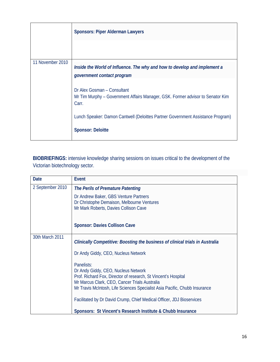|                  | <b>Sponsors: Piper Alderman Lawyers</b>                                                                                |
|------------------|------------------------------------------------------------------------------------------------------------------------|
|                  |                                                                                                                        |
| 11 November 2010 | Inside the World of Influence. The why and how to develop and implement a<br>government contact program                |
|                  | Dr Alex Gosman - Consultant<br>Mr Tim Murphy - Government Affairs Manager, GSK. Former advisor to Senator Kim<br>Carr. |
|                  | Lunch Speaker: Damon Cantwell (Deloittes Partner Government Assistance Program)                                        |
|                  | <b>Sponsor: Deloitte</b>                                                                                               |

**BIOBRIEFINGS:** intensive knowledge sharing sessions on issues critical to the development of the Victorian biotechnology sector.

| <b>Date</b>      | <b>Event</b>                                                                                                                                                                                                                                       |
|------------------|----------------------------------------------------------------------------------------------------------------------------------------------------------------------------------------------------------------------------------------------------|
| 2 September 2010 | The Perils of Premature Patenting                                                                                                                                                                                                                  |
|                  | Dr Andrew Baker, GBS Venture Partners<br>Dr Christophe Demaison, Melbourne Ventures<br>Mr Mark Roberts, Davies Collison Cave                                                                                                                       |
|                  | <b>Sponsor: Davies Collison Cave</b>                                                                                                                                                                                                               |
| 30th March 2011  | Clinically Competitive: Boosting the business of clinical trials in Australia                                                                                                                                                                      |
|                  | Dr Andy Giddy, CEO, Nucleus Network                                                                                                                                                                                                                |
|                  | Panelists:<br>Dr Andy Giddy, CEO, Nucleus Network<br>Prof. Richard Fox, Director of research, St Vincent's Hospital<br>Mr Marcus Clark, CEO, Cancer Trials Australia<br>Mr Travis McIntosh, Life Sciences Specialist Asia Pacific, Chubb Insurance |
|                  | Facilitated by Dr David Crump, Chief Medical Officer, JDJ Bioservices                                                                                                                                                                              |
|                  | Sponsors: St Vincent's Research Institute & Chubb Insurance                                                                                                                                                                                        |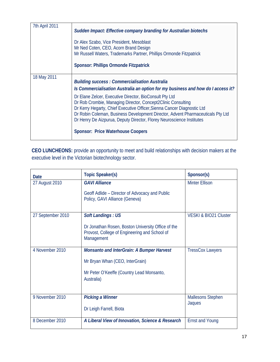| 7th April 2011 | <b>Sudden Impact: Effective company branding for Australian biotechs</b><br>Dr Alex Szabo, Vice President, Mesoblast<br>Mr Ned Coten, CEO, Acorn Brand Design<br>Mr Russell Waters, Trademarks Partner, Phillips Ormonde Fitzpatrick<br><b>Sponsor: Phillips Ormonde Fitzpatrick</b>                                                                                                                                                                                                                                                                   |
|----------------|--------------------------------------------------------------------------------------------------------------------------------------------------------------------------------------------------------------------------------------------------------------------------------------------------------------------------------------------------------------------------------------------------------------------------------------------------------------------------------------------------------------------------------------------------------|
| 18 May 2011    | <b>Building success: Commercialisation Australia</b><br>Is Commercialisation Australia an option for my business and how do I access it?<br>Dr Elane Zelcer, Executive Director, BioConsult Pty Ltd<br>Dr Rob Crombie, Managing Director, Concept2Clinic Consulting<br>Dr Kerry Hegarty, Chief Executive Officer, Sienna Cancer Diagnostic Ltd<br>Dr Robin Coleman, Business Development Director, Advent Pharmaceuticals Pty Ltd<br>Dr Henry De Aizpurua, Deputy Director, Florey Neuroscience Institutes<br><b>Sponsor: Price Waterhouse Coopers</b> |

**CEO LUNCHEONS:** provide an opportunity to meet and build relationships with decision makers at the executive level in the Victorian biotechnology sector.

| <b>Date</b>       | <b>Topic Speaker(s)</b>                                                                                                                        | Sponsor(s)                         |
|-------------------|------------------------------------------------------------------------------------------------------------------------------------------------|------------------------------------|
| 27 August 2010    | <b>GAVI Alliance</b><br>Geoff Adlide – Director of Advocacy and Public<br>Policy, GAVI Alliance (Geneva)                                       | <b>Minter Ellison</b>              |
| 27 September 2010 | <b>Soft Landings: US</b><br>Dr Jonathan Rosen, Boston University Office of the<br>Provost, College of Engineering and School of<br>Management  | VESKI & BIO21 Cluster              |
| 4 November 2010   | <b>Monsanto and InterGrain: A Bumper Harvest</b><br>Mr Bryan Whan (CEO, InterGrain)<br>Mr Peter O'Keeffe (Country Lead Monsanto,<br>Australia) | <b>TressCox Lawyers</b>            |
| 9 November 2010   | <b>Picking a Winner</b><br>Dr Leigh Farrell, Biota                                                                                             | <b>Mallesons Stephen</b><br>Jaques |
| 8 December 2010   | A Liberal View of Innovation, Science & Research                                                                                               | <b>Ernst and Young</b>             |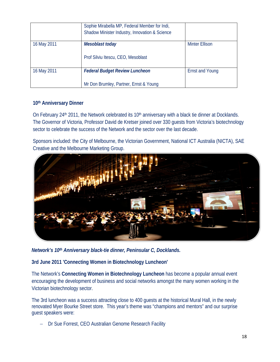|             | Sophie Mirabella MP, Federal Member for Indi,<br>Shadow Minister Industry, Innovation & Science |                        |
|-------------|-------------------------------------------------------------------------------------------------|------------------------|
| 16 May 2011 | Mesoblast today<br>Prof Silviu Itescu, CEO, Mesoblast                                           | <b>Minter Ellison</b>  |
| 16 May 2011 | <b>Federal Budget Review Luncheon</b><br>Mr Don Brumley, Partner, Ernst & Young                 | <b>Ernst and Young</b> |

### **10th Anniversary Dinner**

On February 24<sup>th</sup> 2011, the Network celebrated its 10<sup>th</sup> anniversary with a black tie dinner at Docklands. The Governor of Victoria, Professor David de Kretser joined over 330 guests from Victoria's biotechnology sector to celebrate the success of the Network and the sector over the last decade.

Sponsors included: the City of Melbourne, the Victorian Government, National ICT Australia (NICTA), SAE Creative and the Melbourne Marketing Group.



*Network's 10th Anniversary black-tie dinner, Peninsular C, Docklands.* 

**3rd June 2011 'Connecting Women in Biotechnology Luncheon'** 

The Network's **Connecting Women in Biotechnology Luncheon** has become a popular annual event encouraging the development of business and social networks amongst the many women working in the Victorian biotechnology sector.

The 3rd luncheon was a success attracting close to 400 guests at the historical Mural Hall, in the newly renovated Myer Bourke Street store. This year's theme was "champions and mentors" and our surprise guest speakers were:

− Dr Sue Forrest, CEO Australian Genome Research Facility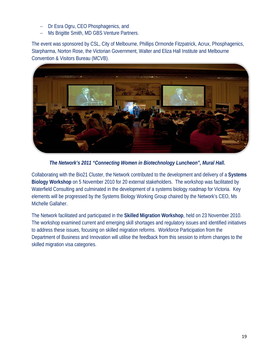- − Dr Esra Ogru, CEO Phosphagenics, and
- − Ms Brigitte Smith, MD GBS Venture Partners.

The event was sponsored by CSL, City of Melbourne, Phillips Ormonde Fitzpatrick, Acrux, Phosphagenics, Starpharma, Norton Rose, the Victorian Government, Walter and Eliza Hall Institute and Melbourne Convention & Visitors Bureau (MCVB).



*The Network's 2011 "Connecting Women in Biotechnology Luncheon", Mural Hall.* 

Collaborating with the Bio21 Cluster, the Network contributed to the development and delivery of a **Systems Biology Workshop** on 5 November 2010 for 20 external stakeholders. The workshop was facilitated by Waterfield Consulting and culminated in the development of a systems biology roadmap for Victoria. Key elements will be progressed by the Systems Biology Working Group chaired by the Network's CEO, Ms Michelle Gallaher.

The Network facilitated and participated in the **Skilled Migration Workshop**, held on 23 November 2010. The workshop examined current and emerging skill shortages and regulatory issues and identified initiatives to address these issues, focusing on skilled migration reforms. Workforce Participation from the Department of Business and Innovation will utilise the feedback from this session to inform changes to the skilled migration visa categories.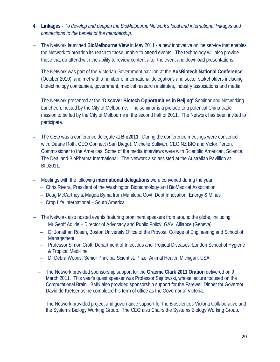- **4. Linkages** *To develop and deepen the BioMelbourne Network's local and international linkages and connections to the benefit of the membership.*
- − The Network launched **BioMelbourne View** in May 2011 a new innovative online service that enables the Network to broaden its reach to those unable to attend events. The technology will also provide those that do attend with the ability to review content after the event and download presentations.
- − The Network was part of the Victorian Government pavilion at the **AusBiotech National Conference** (October 2010), and met with a number of international delegations and sector stakeholders including biotechnology companies, government, medical research institutes, industry associations and media.
- − The Network presented at the "**Discover Biotech Opportunities in Beijing**" Seminar and Networking Luncheon, hosted by the City of Melbourne. The seminar is a prelude to a potential China trade mission to be led by the City of Melbourne in the second half of 2011. The Network has been invited to participate.
- The CEO was a conference delegate at **Bio2011**. During the conference meetings were convened with: Duane Roth, CEO Connect (San Diego), Michelle Sullivan, CEO NZ BIO and Victor Perton, Commissioner to the Americas. Some of the media interviews were with Scientific American, Science, The Deal and BioPharma International. The Network also assisted at the Australian Pavillion at BIO2011.
- − Meetings with the following **international delegations** were convened during the year:
	- − Chris Rivera, President of the Washington Biotechnology and BioMedical Association
	- − Doug McCartney & Magda Byma from Manitoba Govt, Dept Innovation, Energy & Mines
	- − Crop Life International South America
- − The Network also hosted events featuring prominent speakers from around the globe, including:
	- − Mr Geoff Adlide Director of Advocacy and Public Policy, GAVI Alliance (Geneva)
	- − Dr Jonathan Rosen, Boston University Office of the Provost, College of Engineering and School of Management
	- − Professor Simon Croft, Department of Infectious and Tropical Diseases, London School of Hygiene & Tropical Medicine
	- − Dr Debra Woods, Senior Principal Scientist, Pfizer Animal Health, Michigan, USA
	- − The Network provided sponsorship support for the **Graeme Clark 2011 Oration** delivered on 9 March 2011. This year's guest speaker was Professor Sejnowski, whose lecture focused on the Computational Brain. BMN also provided sponsorship support for the Farewell Dinner for Governor David de Kretser as he completed his term of office as the Governor of Victoria.
	- − The Network provided project and governance support for the Biosciences Victoria Collaborative and the Systems Biology Working Group. The CEO also Chairs the Systems Biology Working Group.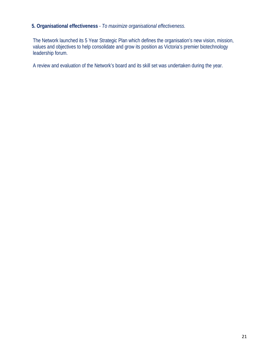## **5. Organisational effectiveness** - *To maximize organisational effectiveness.*

The Network launched its 5 Year Strategic Plan which defines the organisation's new vision, mission, values and objectives to help consolidate and grow its position as Victoria's premier biotechnology leadership forum.

A review and evaluation of the Network's board and its skill set was undertaken during the year.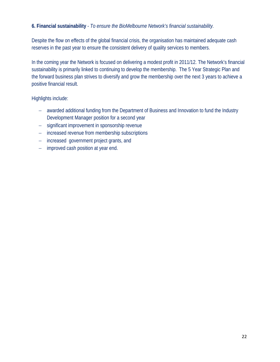## **6. Financial sustainability** - *To ensure the BioMelbourne Network's financial sustainability.*

Despite the flow on effects of the global financial crisis, the organisation has maintained adequate cash reserves in the past year to ensure the consistent delivery of quality services to members.

In the coming year the Network is focused on delivering a modest profit in 2011/12. The Network's financial sustainability is primarily linked to continuing to develop the membership. The 5 Year Strategic Plan and the forward business plan strives to diversify and grow the membership over the next 3 years to achieve a positive financial result.

Highlights include:

- − awarded additional funding from the Department of Business and Innovation to fund the Industry Development Manager position for a second year
- − significant improvement in sponsorship revenue
- − increased revenue from membership subscriptions
- − increased government project grants, and
- − improved cash position at year end.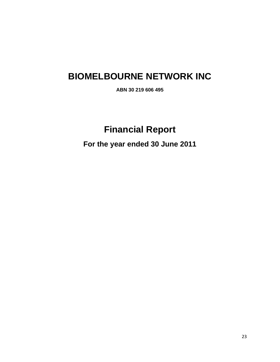# **BIOMELBOURNE NETWORK INC**

**ABN 30 219 606 495** 

# **Financial Report**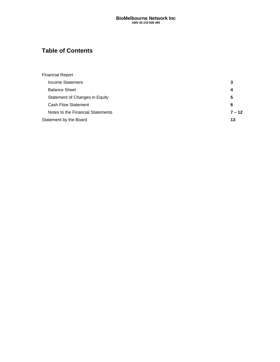## **Table of Contents**

| <b>Financial Report</b>           |          |
|-----------------------------------|----------|
| Income Statement                  | 3        |
| <b>Balance Sheet</b>              | 4        |
| Statement of Changes in Equity    | 5        |
| Cash Flow Statement               | 6        |
| Notes to the Financial Statements | $7 - 12$ |
| Statement by the Board            | 13       |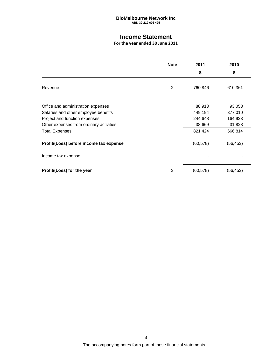### **Income Statement**

|                                         | <b>Note</b>    | 2011      | 2010      |
|-----------------------------------------|----------------|-----------|-----------|
|                                         |                | \$        | \$        |
| Revenue                                 | $\overline{2}$ | 760,846   | 610,361   |
| Office and administration expenses      |                | 88,913    | 93,053    |
| Salaries and other employee benefits    |                | 449,194   | 377,010   |
| Project and function expenses           |                | 244,648   | 164,923   |
| Other expenses from ordinary activities |                | 38,669    | 31,828    |
| <b>Total Expenses</b>                   |                | 821,424   | 666,814   |
| Profit/(Loss) before income tax expense |                | (60, 578) | (56, 453) |
| Income tax expense                      |                |           |           |
| Profit/(Loss) for the year              | 3              | (60, 578) | (56, 453) |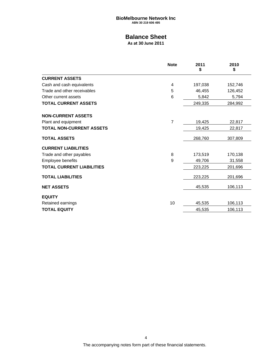## **Balance Sheet**

**As at 30 June 2011**

|                                  | <b>Note</b>     | 2011<br>\$ | 2010<br>\$ |
|----------------------------------|-----------------|------------|------------|
| <b>CURRENT ASSETS</b>            |                 |            |            |
| Cash and cash equivalents        | 4               | 197,038    | 152,746    |
| Trade and other receivables      | 5               | 46,455     | 126,452    |
| Other current assets             | $6\phantom{1}6$ | 5,842      | 5,794      |
| <b>TOTAL CURRENT ASSETS</b>      |                 | 249,335    | 284,992    |
| <b>NON-CURRENT ASSETS</b>        |                 |            |            |
| Plant and equipment              | $\overline{7}$  | 19,425     | 22,817     |
| <b>TOTAL NON-CURRENT ASSETS</b>  |                 | 19,425     | 22,817     |
| <b>TOTAL ASSETS</b>              |                 | 268,760    | 307,809    |
| <b>CURRENT LIABILITIES</b>       |                 |            |            |
| Trade and other payables         | 8               | 173,519    | 170,138    |
| Employee benefits                | 9               | 49,706     | 31,558     |
| <b>TOTAL CURRENT LIABILITIES</b> |                 | 223,225    | 201,696    |
| <b>TOTAL LIABILITIES</b>         |                 | 223,225    | 201,696    |
| <b>NET ASSETS</b>                |                 | 45,535     | 106,113    |
| <b>EQUITY</b>                    |                 |            |            |
| Retained earnings                | 10              | 45,535     | 106,113    |
| <b>TOTAL EQUITY</b>              |                 | 45,535     | 106,113    |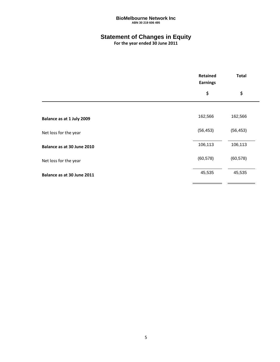## **Statement of Changes in Equity**

|                            | <b>Retained</b><br><b>Earnings</b> | <b>Total</b> |
|----------------------------|------------------------------------|--------------|
|                            | \$                                 | \$           |
|                            |                                    |              |
| Balance as at 1 July 2009  | 162,566                            | 162,566      |
| Net loss for the year      | (56, 453)                          | (56, 453)    |
| Balance as at 30 June 2010 | 106,113                            | 106,113      |
| Net loss for the year      | (60, 578)                          | (60, 578)    |
| Balance as at 30 June 2011 | 45,535                             | 45,535       |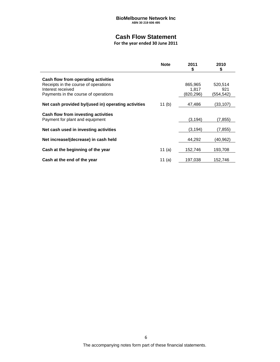## **Cash Flow Statement**

|                                                           | <b>Note</b> | 2011<br>\$         | 2010<br>\$       |
|-----------------------------------------------------------|-------------|--------------------|------------------|
| Cash flow from operating activities                       |             |                    |                  |
| Receipts in the course of operations                      |             | 865,965            | 520,514          |
| Interest received<br>Payments in the course of operations |             | 1.817<br>(820,296) | 921<br>(554,542) |
|                                                           |             |                    |                  |
| Net cash provided by/(used in) operating activities       | 11 $(b)$    | 47,486             | (33,107)         |
| Cash flow from investing activities                       |             |                    |                  |
| Payment for plant and equipment                           |             | (3, 194)           | (7, 855)         |
| Net cash used in investing activities                     |             | (3, 194)           | (7, 855)         |
|                                                           |             |                    |                  |
| Net increase/(decrease) in cash held                      |             | 44,292             | (40,962)         |
| Cash at the beginning of the year                         | 11 (a)      | 152,746            | 193,708          |
| Cash at the end of the year                               | 11 (a)      | 197,038            | 152,746          |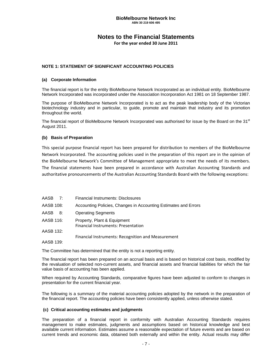### **Notes to the Financial Statements**

**For the year ended 30 June 2011**

#### **NOTE 1: STATEMENT OF SIGNIFICANT ACCOUNTING POLICIES**

#### **(a) Corporate Information**

The financial report is for the entity BioMelbourne Network Incorporated as an individual entity. BioMelbourne Network Incorporated was incorporated under the Association Incorporation Act 1981 on 18 September 1987.

The purpose of BioMelbourne Network Incorporated is to act as the peak leadership body of the Victorian biotechnology industry and in particular, to guide, promote and maintain that industry and its promotion throughout the world.

The financial report of BioMelbourne Network Incorporated was authorised for issue by the Board on the 31<sup>st</sup> August 2011.

#### **(b) Basis of Preparation**

This special purpose financial report has been prepared for distribution to members of the BioMelbourne Network Incorporated. The accounting policies used in the preparation of this report are in the opinion of the BioMelbourne Network's Committee of Management appropriate to meet the needs of its members. The financial statements have been prepared in accordance with Australian Accounting Standards and authoritative pronouncements of the Australian Accounting Standards Board with the following exceptions:

| AASB 7:    | <b>Financial Instruments: Disclosures</b>                          |
|------------|--------------------------------------------------------------------|
| AASB 108:  | Accounting Policies, Changes in Accounting Estimates and Errors    |
| AASB<br>8: | <b>Operating Segments</b>                                          |
| AASB 116:  | Property, Plant & Equipment<br>Financial Instruments: Presentation |
| AASB 132:  |                                                                    |
| AASB 139:  | Financial Instruments: Recognition and Measurement                 |

The Committee has determined that the entity is not a reporting entity.

The financial report has been prepared on an accrual basis and is based on historical cost basis, modified by the revaluation of selected non-current assets, and financial assets and financial liabilities for which the fair value basis of accounting has been applied.

When required by Accounting Standards, comparative figures have been adjusted to conform to changes in presentation for the current financial year.

The following is a summary of the material accounting policies adopted by the network in the preparation of the financial report. The accounting policies have been consistently applied, unless otherwise stated.

#### **(c) Critical accounting estimates and judgments**

The preparation of a financial report in conformity with Australian Accounting Standards requires management to make estimates, judgments and assumptions based on historical knowledge and best available current information. Estimates assume a reasonable expectation of future events and are based on current trends and economic data, obtained both externally and within the entity. Actual results may differ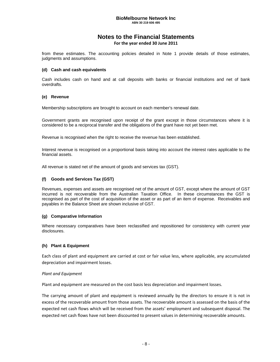## **Notes to the Financial Statements**

**For the year ended 30 June 2011**

from these estimates. The accounting policies detailed in Note 1 provide details of those estimates, judgments and assumptions.

#### **(d) Cash and cash equivalents**

Cash includes cash on hand and at call deposits with banks or financial institutions and net of bank overdrafts.

#### **(e) Revenue**

Membership subscriptions are brought to account on each member's renewal date.

Government grants are recognised upon receipt of the grant except in those circumstances where it is considered to be a reciprocal transfer and the obligations of the grant have not yet been met.

Revenue is recognised when the right to receive the revenue has been established.

Interest revenue is recognised on a proportional basis taking into account the interest rates applicable to the financial assets.

All revenue is stated net of the amount of goods and services tax (GST).

#### **(f) Goods and Services Tax (GST)**

Revenues, expenses and assets are recognised net of the amount of GST, except where the amount of GST incurred is not recoverable from the Australian Taxation Office. In these circumstances the GST is recognised as part of the cost of acquisition of the asset or as part of an item of expense. Receivables and payables in the Balance Sheet are shown inclusive of GST.

#### **(g) Comparative Information**

Where necessary comparatives have been reclassified and repositioned for consistency with current year disclosures.

#### **(h) Plant & Equipment**

Each class of plant and equipment are carried at cost or fair value less, where applicable, any accumulated depreciation and impairment losses.

#### *Plant and Equipment*

Plant and equipment are measured on the cost basis less depreciation and impairment losses.

The carrying amount of plant and equipment is reviewed annually by the directors to ensure it is not in excess of the recoverable amount from those assets. The recoverable amount is assessed on the basis of the expected net cash flows which will be received from the assets' employment and subsequent disposal. The expected net cash flows have not been discounted to present values in determining recoverable amounts.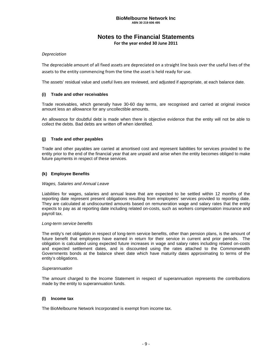### **Notes to the Financial Statements**

**For the year ended 30 June 2011**

#### *Depreciation*

The depreciable amount of all fixed assets are depreciated on a straight line basis over the useful lives of the assets to the entity commencing from the time the asset is held ready for use.

The assets' residual value and useful lives are reviewed, and adjusted if appropriate, at each balance date.

#### **(i) Trade and other receivables**

Trade receivables, which generally have 30-60 day terms, are recognised and carried at original invoice amount less an allowance for any uncollectible amounts.

An allowance for doubtful debt is made when there is objective evidence that the entity will not be able to collect the debts. Bad debts are written off when identified.

#### **(j) Trade and other payables**

Trade and other payables are carried at amortised cost and represent liabilities for services provided to the entity prior to the end of the financial year that are unpaid and arise when the entity becomes obliged to make future payments in respect of these services.

#### **(k) Employee Benefits**

#### *Wages, Salaries and Annual Leave*

Liabilities for wages, salaries and annual leave that are expected to be settled within 12 months of the reporting date represent present obligations resulting from employees' services provided to reporting date. They are calculated at undiscounted amounts based on remuneration wage and salary rates that the entity expects to pay as at reporting date including related on-costs, such as workers compensation insurance and payroll tax.

#### *Long-term service benefits*

The entity's net obligation in respect of long-term service benefits, other than pension plans, is the amount of future benefit that employees have earned in return for their service in current and prior periods. The obligation is calculated using expected future increases in wage and salary rates including related on-costs and expected settlement dates, and is discounted using the rates attached to the Commonwealth Governments bonds at the balance sheet date which have maturity dates approximating to terms of the entity's obligations.

#### *Superannuation*

The amount charged to the Income Statement in respect of superannuation represents the contributions made by the entity to superannuation funds.

#### **(l) Income tax**

The BioMelbourne Network Incorporated is exempt from income tax.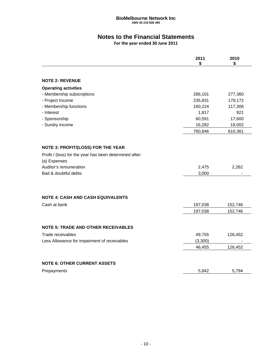## **Notes to the Financial Statements**

|                                                         | 2011<br>\$ | 2010<br>\$ |
|---------------------------------------------------------|------------|------------|
|                                                         |            |            |
| <b>NOTE 2: REVENUE</b>                                  |            |            |
| <b>Operating activities</b>                             |            |            |
| - Membership subscriptions                              | 286,101    | 277,360    |
| - Project Income                                        | 235,831    | 179,172    |
| - Membership functions                                  | 160,224    | 117,306    |
| - Interest                                              | 1,817      | 921        |
| - Sponsorship                                           | 60,591     | 17,600     |
| - Sundry income                                         | 16,282     | 18,002     |
|                                                         | 760,846    | 610,361    |
| NOTE 3: PROFIT/(LOSS) FOR THE YEAR                      |            |            |
| Profit / (loss) for the year has been determined after: |            |            |
| (a) Expenses                                            |            |            |
| Auditor's remuneration                                  | 2,475      | 2,262      |
| Bad & doubtful debts                                    | 3,000      |            |
|                                                         |            |            |
| <b>NOTE 4: CASH AND CASH EQUIVALENTS</b>                |            |            |
| Cash at bank                                            | 197,038    | 152,746    |
|                                                         | 197,038    | 152,746    |
|                                                         |            |            |
| <b>NOTE 5: TRADE AND OTHER RECEIVABLES</b>              |            |            |
| Trade receivables                                       | 49,755     | 126,452    |
| Less Allowance for impairment of receivables            | (3,300)    |            |
|                                                         | 46,455     | 126,452    |
| <b>NOTE 6: OTHER CURRENT ASSETS</b>                     |            |            |
|                                                         |            |            |
| Prepayments                                             | 5,842      | 5,794      |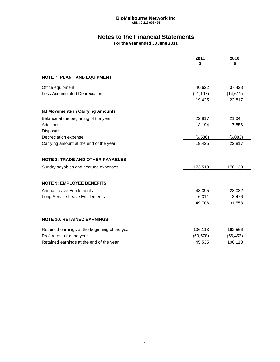## **Notes to the Financial Statements**

|                                                | 2011<br>\$ | 2010<br>\$ |
|------------------------------------------------|------------|------------|
| <b>NOTE 7: PLANT AND EQUIPMENT</b>             |            |            |
| Office equipment                               | 40,622     | 37,428     |
| Less Accumulated Depreciation                  | (21, 197)  | (14, 611)  |
|                                                | 19,425     | 22,817     |
| (a) Movements in Carrying Amounts              |            |            |
| Balance at the beginning of the year           | 22,817     | 21,044     |
| Additions                                      | 3,194      | 7,856      |
| <b>Disposals</b>                               |            |            |
| Depreciation expense                           | (6, 586)   | (6,083)    |
| Carrying amount at the end of the year         | 19,425     | 22,817     |
| <b>NOTE 8: TRADE AND OTHER PAYABLES</b>        |            |            |
| Sundry payables and accrued expenses           | 173,519    | 170,138    |
| <b>NOTE 9: EMPLOYEE BENEFITS</b>               |            |            |
| <b>Annual Leave Entitlements</b>               | 43,395     | 28,082     |
| Long Service Leave Entitlements                | 6,311      | 3,476      |
|                                                | 49,706     | 31,558     |
| <b>NOTE 10: RETAINED EARNINGS</b>              |            |            |
| Retained earnings at the beginning of the year | 106,113    | 162,566    |
| Profit/(Loss) for the year                     | (60, 578)  | (56, 453)  |
| Retained earnings at the end of the year       | 45,535     | 106,113    |
|                                                |            |            |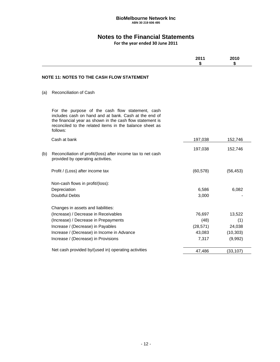## **Notes to the Financial Statements**

|                                                                                                                                                                                                                                               | 2011<br>\$ | 2010<br>\$ |
|-----------------------------------------------------------------------------------------------------------------------------------------------------------------------------------------------------------------------------------------------|------------|------------|
| <b>NOTE 11: NOTES TO THE CASH FLOW STATEMENT</b>                                                                                                                                                                                              |            |            |
| <b>Reconciliation of Cash</b><br>(a)                                                                                                                                                                                                          |            |            |
| For the purpose of the cash flow statement, cash<br>includes cash on hand and at bank. Cash at the end of<br>the financial year as shown in the cash flow statement is<br>reconciled to the related items in the balance sheet as<br>follows: |            |            |
| Cash at bank                                                                                                                                                                                                                                  | 197,038    | 152,746    |
|                                                                                                                                                                                                                                               | 197,038    | 152,746    |
| Reconciliation of profit/(loss) after income tax to net cash<br>(b)<br>provided by operating activities.                                                                                                                                      |            |            |
| Profit / (Loss) after income tax                                                                                                                                                                                                              | (60, 578)  | (56, 453)  |
| Non-cash flows in profit/(loss):                                                                                                                                                                                                              |            |            |
| Depreciation                                                                                                                                                                                                                                  | 6,586      | 6,082      |
| <b>Doubtful Debts</b>                                                                                                                                                                                                                         | 3,000      |            |
| Changes in assets and liabilities:                                                                                                                                                                                                            |            |            |
| (Increase) / Decrease in Receivables                                                                                                                                                                                                          | 76,697     | 13,522     |
| (Increase) / Decrease in Prepayments                                                                                                                                                                                                          | (48)       | (1)        |
| Increase / (Decrease) in Payables                                                                                                                                                                                                             | (28, 571)  | 24,038     |
| Increase / (Decrease) in Income in Advance                                                                                                                                                                                                    | 43,083     | (10, 303)  |
| Increase / (Decrease) in Provisions                                                                                                                                                                                                           | 7,317      | (9,992)    |
| Net cash provided by/(used in) operating activities                                                                                                                                                                                           | 47,486     | (33, 107)  |